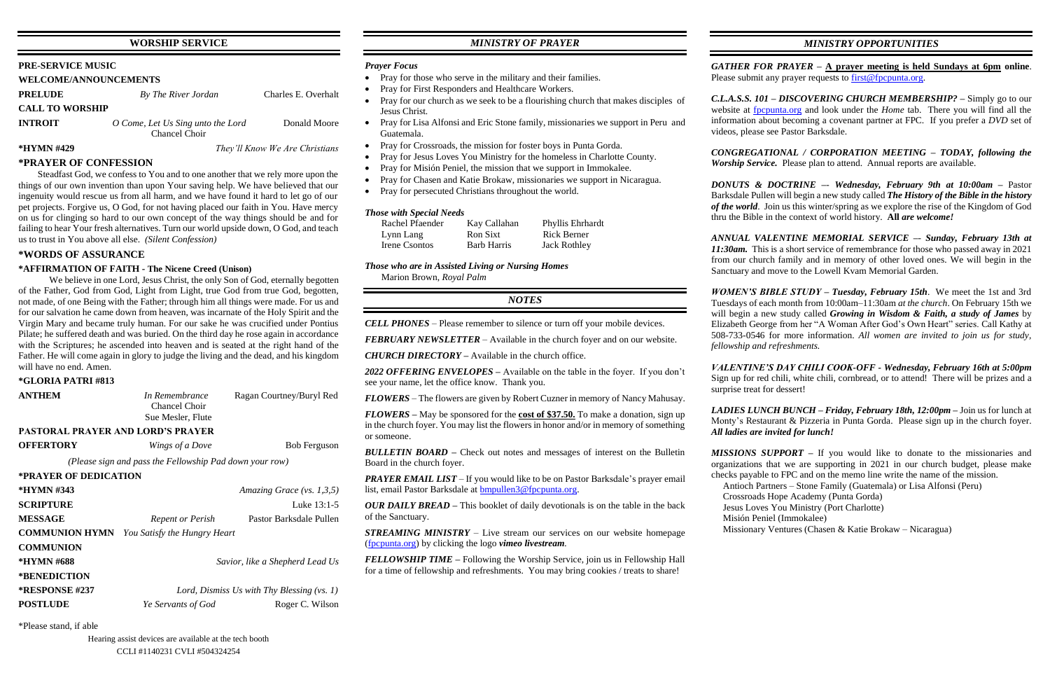# **WORSHIP SERVICE**

### **PRE-SERVICE MUSIC**

# **WELCOME/ANNOUNCEMENTS**

| <b>PRELUDE</b>         | By The River Jordan                                | Charles E. Overhalt |
|------------------------|----------------------------------------------------|---------------------|
| <b>CALL TO WORSHIP</b> |                                                    |                     |
| <b>INTROIT</b>         | O Come, Let Us Sing unto the Lord<br>Chancel Choir | Donald Moore        |

**\*HYMN #429** *They'll Know We Are Christians*

# **\*PRAYER OF CONFESSION**

Steadfast God, we confess to You and to one another that we rely more upon the things of our own invention than upon Your saving help. We have believed that our ingenuity would rescue us from all harm, and we have found it hard to let go of our pet projects. Forgive us, O God, for not having placed our faith in You. Have mercy on us for clinging so hard to our own concept of the way things should be and for failing to hear Your fresh alternatives. Turn our world upside down, O God, and teach us to trust in You above all else. *(Silent Confession)*

We believe in one Lord, Jesus Christ, the only Son of God, eternally begotten of the Father, God from God, Light from Light, true God from true God, begotten, not made, of one Being with the Father; through him all things were made. For us and for our salvation he came down from heaven, was incarnate of the Holy Spirit and the Virgin Mary and became truly human. For our sake he was crucified under Pontius Pilate; he suffered death and was buried. On the third day he rose again in accordance with the Scriptures; he ascended into heaven and is seated at the right hand of the Father. He will come again in glory to judge the living and the dead, and his kingdom will have no end. Amen.

# **\*WORDS OF ASSURANCE**

# **\*AFFIRMATION OF FAITH - The Nicene Creed (Unison)**

### **\*GLORIA PATRI #813**

| <b>ANTHEM</b>                            | In Remembrance<br>Chancel Choir<br>Sue Mesler, Flute    | Ragan Courtney/Buryl Red     |
|------------------------------------------|---------------------------------------------------------|------------------------------|
| <b>PASTORAL PRAYER AND LORD'S PRAYER</b> |                                                         |                              |
| <b>OFFERTORY</b>                         | Wings of a Dove                                         | <b>Bob Ferguson</b>          |
|                                          | (Please sign and pass the Fellowship Pad down your row) |                              |
| *PRAYER OF DEDICATION                    |                                                         |                              |
| *HYMN #343                               |                                                         | Amazing Grace (vs. $1,3,5$ ) |
| <b>SCRIPTURE</b>                         |                                                         | Luke $13:1-5$                |
| <b>MESSAGE</b>                           | <b>Repent or Perish</b>                                 | Pastor Barksdale Pullen      |
| <b>COMMUNION HYMN</b>                    | You Satisfy the Hungry Heart                            |                              |
| <b>COMMUNION</b>                         |                                                         |                              |
| *HYMN #688                               | Savior, like a Shepherd Lead Us                         |                              |
| <i><b>*BENEDICTION</b></i>               |                                                         |                              |
| *RESPONSE #237                           | Lord, Dismiss Us with Thy Blessing $(vs. 1)$            |                              |
| <b>POSTLUDE</b>                          | <i>Ye Servants of God</i>                               | Roger C. Wilson              |

*PRAYER EMAIL LIST* – If you would like to be on Pastor Barksdale's prayer email list, email Pastor Barksdale at [bmpullen3@fpcpunta.org.](about:blank)

\*Please stand, if able

*GATHER FOR PRAYER –* **A prayer meeting is held Sundays at 6pm online**. Please submit any prayer requests to [first@fpcpunta.org.](about:blank)

# *MINISTRY OF PRAYER*

### *Prayer Focus*

- Pray for those who serve in the military and their families.
- Pray for First Responders and Healthcare Workers.
- Pray for our church as we seek to be a flourishing church that makes disciples of Jesus Christ.
- Pray for Lisa Alfonsi and Eric Stone family, missionaries we support in Peru and Guatemala.
- Pray for Crossroads, the mission for foster boys in Punta Gorda.
- Pray for Jesus Loves You Ministry for the homeless in Charlotte County.
- Pray for Misión Peniel, the mission that we support in Immokalee.
- Pray for Chasen and Katie Brokaw, missionaries we support in Nicaragua.
- Pray for persecuted Christians throughout the world.

*CONGREGATIONAL / CORPORATION MEETING – TODAY, following the Worship Service.* Please plan to attend. Annual reports are available.

### *Those with Special Needs*

| Rachel Pfaender | Kay Callahan       | Phyllis Ehrhardt    |
|-----------------|--------------------|---------------------|
| Lynn Lang       | Ron Sixt           | Rick Berner         |
| Irene Csontos   | <b>Barb Harris</b> | <b>Jack Rothley</b> |

*Those who are in Assisted Living or Nursing Homes* Marion Brown, *Royal Palm*

# *NOTES*

*CELL PHONES –* Please remember to silence or turn off your mobile devices.

*FEBRUARY NEWSLETTER –* Available in the church foyer and on our website.

*CHURCH DIRECTORY –* Available in the church office.

*2022 OFFERING ENVELOPES –* Available on the table in the foyer. If you don't see your name, let the office know. Thank you.

*FLOWERS* – The flowers are given by Robert Cuzner in memory of Nancy Mahusay.

*FLOWERS –* May be sponsored for the **cost of \$37.50.** To make a donation, sign up in the church foyer. You may list the flowers in honor and/or in memory of something or someone.

*BULLETIN BOARD –* Check out notes and messages of interest on the Bulletin Board in the church foyer.

*OUR DAILY BREAD –* This booklet of daily devotionals is on the table in the back of the Sanctuary.

*STREAMING MINISTRY –* Live stream our services on our website homepage [\(fpcpunta.org\)](about:blank) by clicking the logo *vimeo livestream.*

*FELLOWSHIP TIME –* Following the Worship Service, join us in Fellowship Hall for a time of fellowship and refreshments. You may bring cookies / treats to share!

# *MINISTRY OPPORTUNITIES*

*C.L.A.S.S. 101 – DISCOVERING CHURCH MEMBERSHIP? –* Simply go to our website at [fpcpunta.org](about:blank) and look under the *Home* tab. There you will find all the information about becoming a covenant partner at FPC. If you prefer a *DVD* set of videos, please see Pastor Barksdale.

*DONUTS & DOCTRINE –*- *Wednesday, February 9th at 10:00am –* Pastor Barksdale Pullen will begin a new study called *The History of the Bible in the history of the world*. Join us this winter/spring as we explore the rise of the Kingdom of God thru the Bible in the context of world history. **All** *are welcome!*

*ANNUAL VALENTINE MEMORIAL SERVICE –*- *Sunday, February 13th at 11:30am.* This is a short service of remembrance for those who passed away in 2021 from our church family and in memory of other loved ones. We will begin in the Sanctuary and move to the Lowell Kvam Memorial Garden.

*WOMEN'S BIBLE STUDY – Tuesday, February 15th*. We meet the 1st and 3rd Tuesdays of each month from 10:00am–11:30am *at the church*. On February 15th we will begin a new study called *Growing in Wisdom & Faith, a study of James* by Elizabeth George from her "A Woman After God's Own Heart" series. Call Kathy at 508-733-0546 for more information. *All women are invited to join us for study, fellowship and refreshments.*

*VALENTINE'S DAY CHILI COOK-OFF - Wednesday, February 16th at 5:00pm*  Sign up for red chili, white chili, cornbread, or to attend! There will be prizes and a

# surprise treat for dessert!

*LADIES LUNCH BUNCH – Friday, February 18th, 12:00pm –* Join us for lunch at Monty's Restaurant & Pizzeria in Punta Gorda. Please sign up in the church foyer. *All ladies are invited for lunch!*

*MISSIONS SUPPORT –* If you would like to donate to the missionaries and organizations that we are supporting in 2021 in our church budget, please make checks payable to FPC and on the memo line write the name of the mission.

Antioch Partners – Stone Family (Guatemala) or Lisa Alfonsi (Peru)

 Crossroads Hope Academy (Punta Gorda) Jesus Loves You Ministry (Port Charlotte) Misión Peniel (Immokalee)

Missionary Ventures (Chasen & Katie Brokaw – Nicaragua)